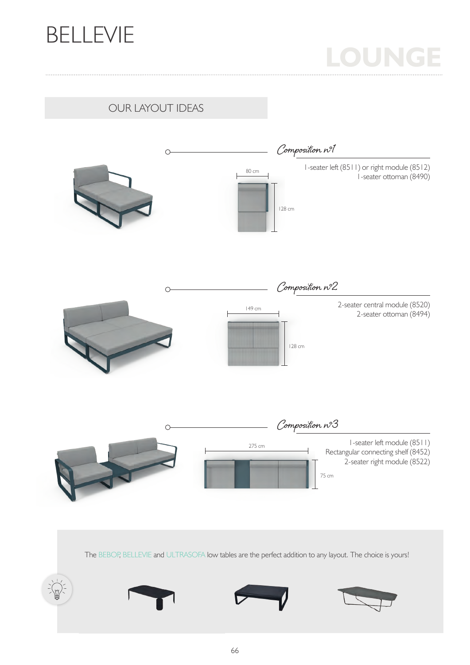

# **LOUNGE**

OUR LAYOUT IDEAS



The BEBOP, BELLEVIE and ULTRASOFA low tables are the perfect addition to any layout. The choice is yours!

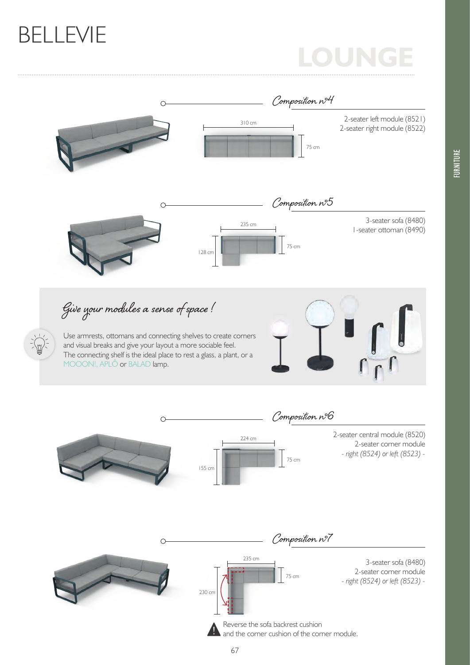### BELLEVIE

### **LOUNGE**